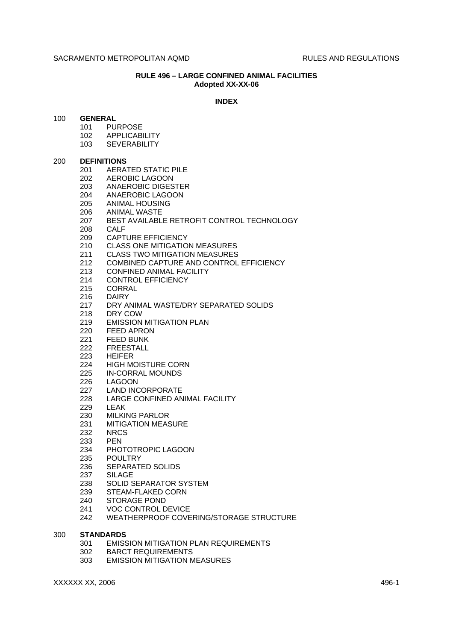#### **RULE 496 – LARGE CONFINED ANIMAL FACILITIES Adopted XX-XX-06**

#### **INDEX**

## 100 **GENERAL**

- 101 PURPOSE
- 102 APPLICABILITY
- 103 SEVERABILITY

#### 200 **DEFINITIONS**

- 201 AERATED STATIC PILE
- 202 AEROBIC LAGOON
- 203 ANAEROBIC DIGESTER<br>204 ANAEROBIC LAGOON
- ANAEROBIC LAGOON
- 205 ANIMAL HOUSING
- 206 ANIMAL WASTE
- 207 BEST AVAILABLE RETROFIT CONTROL TECHNOLOGY
- 208 CALF
- 209 CAPTURE EFFICIENCY
- 210 CLASS ONE MITIGATION MEASURES
- 211 CLASS TWO MITIGATION MEASURES
- 212 COMBINED CAPTURE AND CONTROL EFFICIENCY
- 213 CONFINED ANIMAL FACILITY
- 214 CONTROL EFFICIENCY
- 215 CORRAL
- 216 DAIRY
- 217 DRY ANIMAL WASTE/DRY SEPARATED SOLIDS
- 218 DRY COW
- 219 EMISSION MITIGATION PLAN
- 220 FEED APRON
- 221 FEED BUNK
- 222 FREESTALL
- 223 HEIFER
- 224 HIGH MOISTURE CORN
- 225 IN-CORRAL MOUNDS
- 226 LAGOON
- 227 LAND INCORPORATE
- 228 LARGE CONFINED ANIMAL FACILITY
- 229 LEAK
- 230 MILKING PARLOR
- 231 MITIGATION MEASURE
- 232 NRCS
- 233 PEN
- 234 PHOTOTROPIC LAGOON
- 235 POULTRY
- 236 SEPARATED SOLIDS
- 237 SILAGE
- 238 SOLID SEPARATOR SYSTEM
- 239 STEAM-FLAKED CORN
- 240 STORAGE POND
- 241 VOC CONTROL DEVICE
- 242 WEATHERPROOF COVERING/STORAGE STRUCTURE

#### 300 **STANDARDS**

- 301 EMISSION MITIGATION PLAN REQUIREMENTS
- 302 BARCT REQUIREMENTS
- 303 EMISSION MITIGATION MEASURES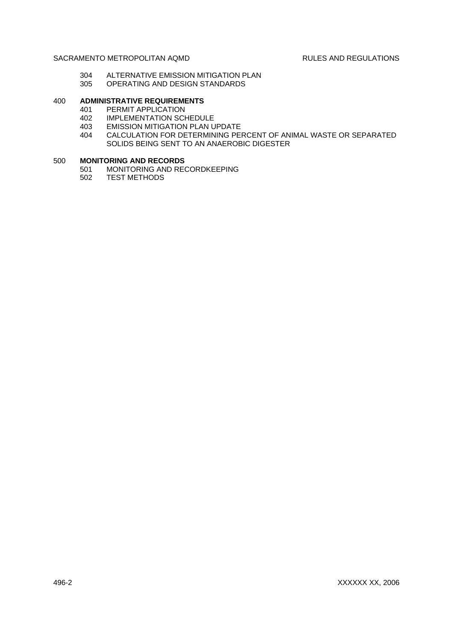- 304 ALTERNATIVE EMISSION MITIGATION PLAN<br>305 OPERATING AND DESIGN STANDARDS
- OPERATING AND DESIGN STANDARDS

# 400 **ADMINISTRATIVE REQUIREMENTS**

- 401 PERMIT APPLICATION
- 402 IMPLEMENTATION SCHEDULE<br>403 EMISSION MITIGATION PLAN U
- **EMISSION MITIGATION PLAN UPDATE**
- 404 CALCULATION FOR DETERMINING PERCENT OF ANIMAL WASTE OR SEPARATED SOLIDS BEING SENT TO AN ANAEROBIC DIGESTER

#### 500 **MONITORING AND RECORDS**

- 501 MONITORING AND RECORDKEEPING
- 502 TEST METHODS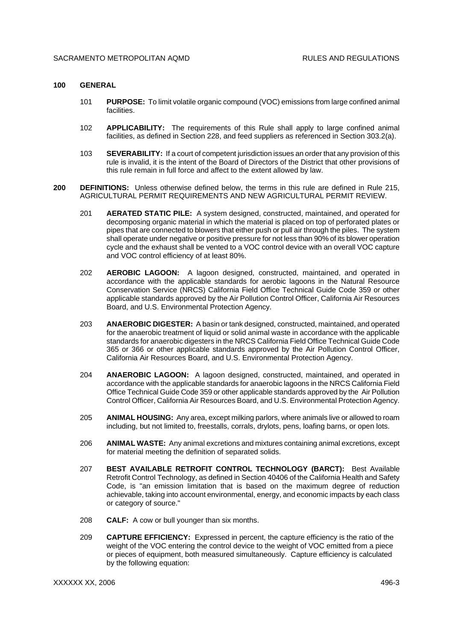#### **100 GENERAL**

- 101 **PURPOSE:** To limit volatile organic compound (VOC) emissions from large confined animal facilities.
- 102 **APPLICABILITY:** The requirements of this Rule shall apply to large confined animal facilities, as defined in Section 228, and feed suppliers as referenced in Section 303.2(a).
- 103 **SEVERABILITY:** If a court of competent jurisdiction issues an order that any provision of this rule is invalid, it is the intent of the Board of Directors of the District that other provisions of this rule remain in full force and affect to the extent allowed by law.
- **200 DEFINITIONS:** Unless otherwise defined below, the terms in this rule are defined in Rule 215, AGRICULTURAL PERMIT REQUIREMENTS AND NEW AGRICULTURAL PERMIT REVIEW.
	- 201 **AERATED STATIC PILE:** A system designed, constructed, maintained, and operated for decomposing organic material in which the material is placed on top of perforated plates or pipes that are connected to blowers that either push or pull air through the piles. The system shall operate under negative or positive pressure for not less than 90% of its blower operation cycle and the exhaust shall be vented to a VOC control device with an overall VOC capture and VOC control efficiency of at least 80%.
	- 202 **AEROBIC LAGOON:** A lagoon designed, constructed, maintained, and operated in accordance with the applicable standards for aerobic lagoons in the Natural Resource Conservation Service (NRCS) California Field Office Technical Guide Code 359 or other applicable standards approved by the Air Pollution Control Officer, California Air Resources Board, and U.S. Environmental Protection Agency.
	- 203 **ANAEROBIC DIGESTER:** A basin or tank designed, constructed, maintained, and operated for the anaerobic treatment of liquid or solid animal waste in accordance with the applicable standards for anaerobic digesters in the NRCS California Field Office Technical Guide Code 365 or 366 or other applicable standards approved by the Air Pollution Control Officer, California Air Resources Board, and U.S. Environmental Protection Agency.
	- 204 **ANAEROBIC LAGOON:** A lagoon designed, constructed, maintained, and operated in accordance with the applicable standards for anaerobic lagoons in the NRCS California Field Office Technical Guide Code 359 or other applicable standards approved by the Air Pollution Control Officer, California Air Resources Board, and U.S. Environmental Protection Agency.
	- 205 **ANIMAL HOUSING:** Any area, except milking parlors, where animals live or allowed to roam including, but not limited to, freestalls, corrals, drylots, pens, loafing barns, or open lots.
	- 206 **ANIMAL WASTE:** Any animal excretions and mixtures containing animal excretions, except for material meeting the definition of separated solids.
	- 207 **BEST AVAILABLE RETROFIT CONTROL TECHNOLOGY (BARCT):** Best Available Retrofit Control Technology, as defined in Section 40406 of the California Health and Safety Code, is "an emission limitation that is based on the maximum degree of reduction achievable, taking into account environmental, energy, and economic impacts by each class or category of source."
	- 208 **CALF:** A cow or bull younger than six months.
	- 209 **CAPTURE EFFICIENCY:** Expressed in percent, the capture efficiency is the ratio of the weight of the VOC entering the control device to the weight of VOC emitted from a piece or pieces of equipment, both measured simultaneously. Capture efficiency is calculated by the following equation: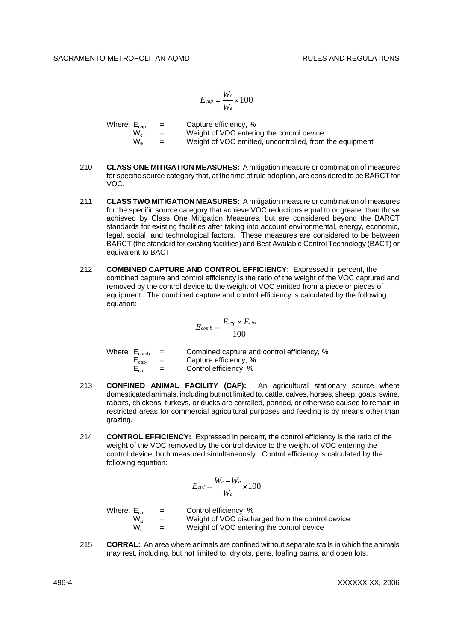$$
E_{cap} = \frac{W_c}{W_e}{\times}100
$$

| Where: $E_{\text{can}}$ |              | $\equiv$       | Capture efficiency, %                                   |
|-------------------------|--------------|----------------|---------------------------------------------------------|
|                         | W.           | <b>Section</b> | Weight of VOC entering the control device               |
|                         | $W_{\alpha}$ | $=$            | Weight of VOC emitted, uncontrolled, from the equipment |

- 210 **CLASS ONE MITIGATION MEASURES:** A mitigation measure or combination of measures for specific source category that, at the time of rule adoption, are considered to be BARCT for VOC.
- 211 **CLASS TWO MITIGATION MEASURES:** A mitigation measure or combination of measures for the specific source category that achieve VOC reductions equal to or greater than those achieved by Class One Mitigation Measures, but are considered beyond the BARCT standards for existing facilities after taking into account environmental, energy, economic, legal, social, and technological factors. These measures are considered to be between BARCT (the standard for existing facilities) and Best Available Control Technology (BACT) or equivalent to BACT.
- 212 **COMBINED CAPTURE AND CONTROL EFFICIENCY:** Expressed in percent, the combined capture and control efficiency is the ratio of the weight of the VOC captured and removed by the control device to the weight of VOC emitted from a piece or pieces of equipment. The combined capture and control efficiency is calculated by the following equation:

$$
E_{comb} = \frac{E_{cap} \times E_{ctrl}}{100}
$$

| Where: $E_{comb}$ |                   | $=$ | Combined capture and control efficiency, % |
|-------------------|-------------------|-----|--------------------------------------------|
|                   | $E_{cap}$         | $=$ | Capture efficiency, %                      |
|                   | $E_{\text{ctrl}}$ | $=$ | Control efficiency, %                      |

- 213 **CONFINED ANIMAL FACILITY (CAF):** An agricultural stationary source where domesticated animals, including but not limited to, cattle, calves, horses, sheep, goats, swine, rabbits, chickens, turkeys, or ducks are corralled, penned, or otherwise caused to remain in restricted areas for commercial agricultural purposes and feeding is by means other than grazing.
- 214 **CONTROL EFFICIENCY:** Expressed in percent, the control efficiency is the ratio of the weight of the VOC removed by the control device to the weight of VOC entering the control device, both measured simultaneously. Control efficiency is calculated by the following equation:

$$
E_{ctrl} = \frac{W_c - W_a}{W_c} \times 100
$$

Where:  $E_{\text{ctrl}} =$  Control efficiency, %<br>  $W_a =$  Weight of VOC disch  $W_a$  = Weight of VOC discharged from the control device<br> $W_c$  = Weight of VOC entering the control device Weight of VOC entering the control device

215 **CORRAL:** An area where animals are confined without separate stalls in which the animals may rest, including, but not limited to, drylots, pens, loafing barns, and open lots.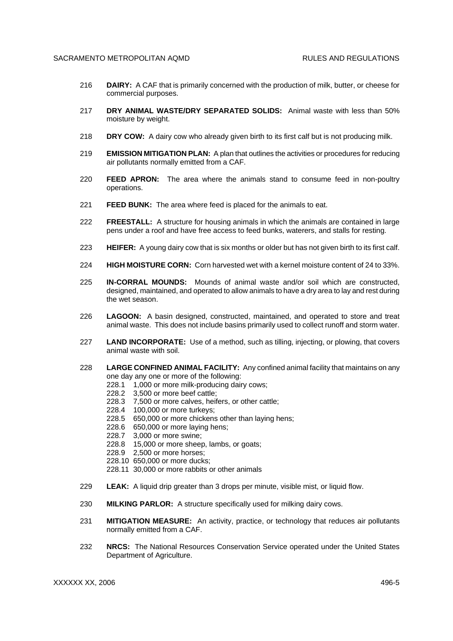- 216 **DAIRY:** A CAF that is primarily concerned with the production of milk, butter, or cheese for commercial purposes.
- 217 **DRY ANIMAL WASTE/DRY SEPARATED SOLIDS:** Animal waste with less than 50% moisture by weight.
- 218 **DRY COW:** A dairy cow who already given birth to its first calf but is not producing milk.
- 219 **EMISSION MITIGATION PLAN:** A plan that outlines the activities or procedures for reducing air pollutants normally emitted from a CAF.
- 220 **FEED APRON:** The area where the animals stand to consume feed in non-poultry operations.
- 221 **FEED BUNK:** The area where feed is placed for the animals to eat.
- 222 **FREESTALL:** A structure for housing animals in which the animals are contained in large pens under a roof and have free access to feed bunks, waterers, and stalls for resting.
- 223 **HEIFER:** A young dairy cow that is six months or older but has not given birth to its first calf.
- 224 **HIGH MOISTURE CORN:** Corn harvested wet with a kernel moisture content of 24 to 33%.
- 225 **IN-CORRAL MOUNDS:** Mounds of animal waste and/or soil which are constructed, designed, maintained, and operated to allow animals to have a dry area to lay and rest during the wet season.
- 226 **LAGOON:** A basin designed, constructed, maintained, and operated to store and treat animal waste. This does not include basins primarily used to collect runoff and storm water.
- 227 **LAND INCORPORATE:** Use of a method, such as tilling, injecting, or plowing, that covers animal waste with soil.
- 228 **LARGE CONFINED ANIMAL FACILITY:** Any confined animal facility that maintains on any one day any one or more of the following:
	- 228.1 1,000 or more milk-producing dairy cows;
	- 228.2 3,500 or more beef cattle;
	- 228.3 7,500 or more calves, heifers, or other cattle;
	- 228.4 100,000 or more turkeys;
	- 228.5 650,000 or more chickens other than laying hens;
	- 228.6 650,000 or more laying hens;
	- 228.7 3,000 or more swine;
	- 228.8 15,000 or more sheep, lambs, or goats;
	- 228.9 2,500 or more horses;
	- 228.10 650,000 or more ducks;
	- 228.11 30,000 or more rabbits or other animals
- 229 **LEAK:** A liquid drip greater than 3 drops per minute, visible mist, or liquid flow.
- 230 **MILKING PARLOR:** A structure specifically used for milking dairy cows.
- 231 **MITIGATION MEASURE:** An activity, practice, or technology that reduces air pollutants normally emitted from a CAF.
- 232 **NRCS:** The National Resources Conservation Service operated under the United States Department of Agriculture.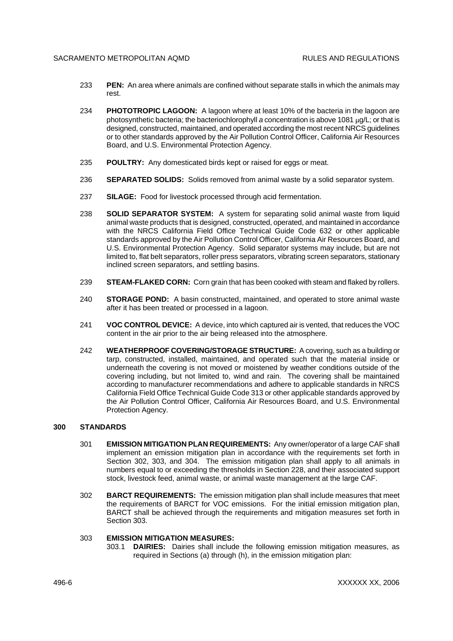- 233 **PEN:** An area where animals are confined without separate stalls in which the animals may rest.
- 234 **PHOTOTROPIC LAGOON:** A lagoon where at least 10% of the bacteria in the lagoon are photosynthetic bacteria; the bacteriochlorophyll *a* concentration is above 1081  $\mu$ g/L; or that is designed, constructed, maintained, and operated according the most recent NRCS guidelines or to other standards approved by the Air Pollution Control Officer, California Air Resources Board, and U.S. Environmental Protection Agency.
- 235 **POULTRY:** Any domesticated birds kept or raised for eggs or meat.
- 236 **SEPARATED SOLIDS:** Solids removed from animal waste by a solid separator system.
- 237 **SILAGE:** Food for livestock processed through acid fermentation.
- 238 **SOLID SEPARATOR SYSTEM:** A system for separating solid animal waste from liquid animal waste products that is designed, constructed, operated, and maintained in accordance with the NRCS California Field Office Technical Guide Code 632 or other applicable standards approved by the Air Pollution Control Officer, California Air Resources Board, and U.S. Environmental Protection Agency. Solid separator systems may include, but are not limited to, flat belt separators, roller press separators, vibrating screen separators, stationary inclined screen separators, and settling basins.
- 239 **STEAM-FLAKED CORN:** Corn grain that has been cooked with steam and flaked by rollers.
- 240 **STORAGE POND:** A basin constructed, maintained, and operated to store animal waste after it has been treated or processed in a lagoon.
- 241 **VOC CONTROL DEVICE:** A device, into which captured air is vented, that reduces the VOC content in the air prior to the air being released into the atmosphere.
- 242 **WEATHERPROOF COVERING/STORAGE STRUCTURE:** A covering, such as a building or tarp, constructed, installed, maintained, and operated such that the material inside or underneath the covering is not moved or moistened by weather conditions outside of the covering including, but not limited to, wind and rain. The covering shall be maintained according to manufacturer recommendations and adhere to applicable standards in NRCS California Field Office Technical Guide Code 313 or other applicable standards approved by the Air Pollution Control Officer, California Air Resources Board, and U.S. Environmental Protection Agency.

#### **300 STANDARDS**

- 301 **EMISSION MITIGATION PLAN REQUIREMENTS:** Any owner/operator of a large CAF shall implement an emission mitigation plan in accordance with the requirements set forth in Section 302, 303, and 304. The emission mitigation plan shall apply to all animals in numbers equal to or exceeding the thresholds in Section 228, and their associated support stock, livestock feed, animal waste, or animal waste management at the large CAF.
- 302 **BARCT REQUIREMENTS:** The emission mitigation plan shall include measures that meet the requirements of BARCT for VOC emissions. For the initial emission mitigation plan, BARCT shall be achieved through the requirements and mitigation measures set forth in Section 303.

## 303 **EMISSION MITIGATION MEASURES:**

303.1 **DAIRIES:** Dairies shall include the following emission mitigation measures, as required in Sections (a) through (h), in the emission mitigation plan: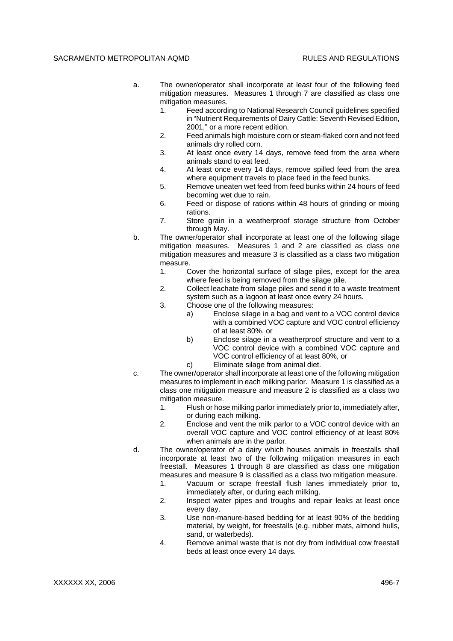- a. The owner/operator shall incorporate at least four of the following feed mitigation measures. Measures 1 through 7 are classified as class one mitigation measures.
	- 1. Feed according to National Research Council guidelines specified in "Nutrient Requirements of Dairy Cattle: Seventh Revised Edition, 2001," or a more recent edition.
	- 2. Feed animals high moisture corn or steam-flaked corn and not feed animals dry rolled corn.
	- 3. At least once every 14 days, remove feed from the area where animals stand to eat feed.
	- 4. At least once every 14 days, remove spilled feed from the area where equipment travels to place feed in the feed bunks.
	- 5. Remove uneaten wet feed from feed bunks within 24 hours of feed becoming wet due to rain.
	- 6. Feed or dispose of rations within 48 hours of grinding or mixing rations.
	- 7. Store grain in a weatherproof storage structure from October through May.
- b. The owner/operator shall incorporate at least one of the following silage mitigation measures. Measures 1 and 2 are classified as class one mitigation measures and measure 3 is classified as a class two mitigation measure.
	- 1. Cover the horizontal surface of silage piles, except for the area where feed is being removed from the silage pile.
	- 2. Collect leachate from silage piles and send it to a waste treatment system such as a lagoon at least once every 24 hours.
	- 3. Choose one of the following measures:
		- a) Enclose silage in a bag and vent to a VOC control device with a combined VOC capture and VOC control efficiency of at least 80%, or
		- b) Enclose silage in a weatherproof structure and vent to a VOC control device with a combined VOC capture and VOC control efficiency of at least 80%, or
		- c) Eliminate silage from animal diet.
- c. The owner/operator shall incorporate at least one of the following mitigation measures to implement in each milking parlor. Measure 1 is classified as a class one mitigation measure and measure 2 is classified as a class two mitigation measure.
	- 1. Flush or hose milking parlor immediately prior to, immediately after, or during each milking.
	- 2. Enclose and vent the milk parlor to a VOC control device with an overall VOC capture and VOC control efficiency of at least 80% when animals are in the parlor.
- d. The owner/operator of a dairy which houses animals in freestalls shall incorporate at least two of the following mitigation measures in each freestall. Measures 1 through 8 are classified as class one mitigation measures and measure 9 is classified as a class two mitigation measure.
	- 1. Vacuum or scrape freestall flush lanes immediately prior to, immediately after, or during each milking.
	- 2. Inspect water pipes and troughs and repair leaks at least once every day.
	- 3. Use non-manure-based bedding for at least 90% of the bedding material, by weight, for freestalls (e.g. rubber mats, almond hulls, sand, or waterbeds).
	- 4. Remove animal waste that is not dry from individual cow freestall beds at least once every 14 days.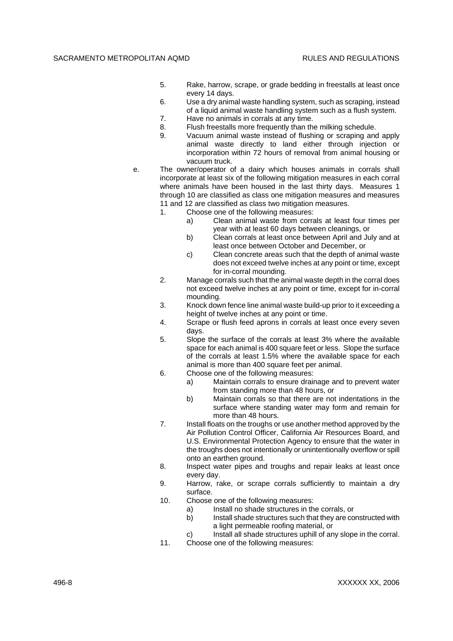- 5. Rake, harrow, scrape, or grade bedding in freestalls at least once every 14 days.
- 6. Use a dry animal waste handling system, such as scraping, instead of a liquid animal waste handling system such as a flush system.
- 7. Have no animals in corrals at any time.
- 8. Flush freestalls more frequently than the milking schedule.
- 9. Vacuum animal waste instead of flushing or scraping and apply animal waste directly to land either through injection or incorporation within 72 hours of removal from animal housing or vacuum truck.
- e. The owner/operator of a dairy which houses animals in corrals shall incorporate at least six of the following mitigation measures in each corral where animals have been housed in the last thirty days. Measures 1 through 10 are classified as class one mitigation measures and measures 11 and 12 are classified as class two mitigation measures.
	- 1. Choose one of the following measures:
		- a) Clean animal waste from corrals at least four times per year with at least 60 days between cleanings, or
		- b) Clean corrals at least once between April and July and at least once between October and December, or
		- c) Clean concrete areas such that the depth of animal waste does not exceed twelve inches at any point or time, except for in-corral mounding.
	- 2. Manage corrals such that the animal waste depth in the corral does not exceed twelve inches at any point or time, except for in-corral mounding.
	- 3. Knock down fence line animal waste build-up prior to it exceeding a height of twelve inches at any point or time.
	- 4. Scrape or flush feed aprons in corrals at least once every seven days.
	- 5. Slope the surface of the corrals at least 3% where the available space for each animal is 400 square feet or less. Slope the surface of the corrals at least 1.5% where the available space for each animal is more than 400 square feet per animal.
	- 6. Choose one of the following measures:
		- a) Maintain corrals to ensure drainage and to prevent water from standing more than 48 hours, or
			- b) Maintain corrals so that there are not indentations in the surface where standing water may form and remain for more than 48 hours.
	- 7. Install floats on the troughs or use another method approved by the Air Pollution Control Officer, California Air Resources Board, and U.S. Environmental Protection Agency to ensure that the water in the troughs does not intentionally or unintentionally overflow or spill onto an earthen ground.
	- 8. Inspect water pipes and troughs and repair leaks at least once every day.
	- 9. Harrow, rake, or scrape corrals sufficiently to maintain a dry surface.
	- 10. Choose one of the following measures:
		- a) Install no shade structures in the corrals, or
		- b) Install shade structures such that they are constructed with a light permeable roofing material, or
		- c) Install all shade structures uphill of any slope in the corral.
	- 11. Choose one of the following measures: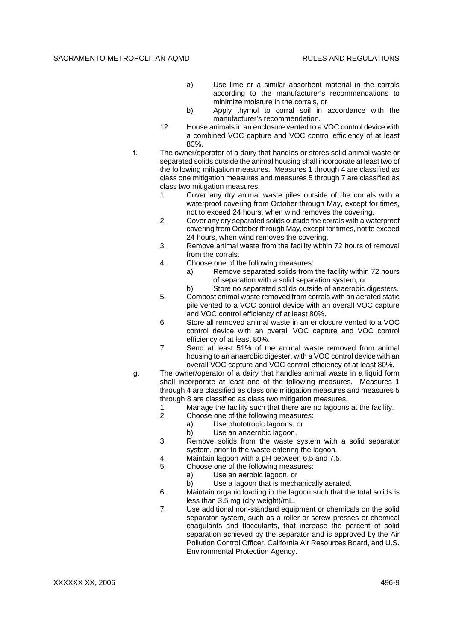- a) Use lime or a similar absorbent material in the corrals according to the manufacturer's recommendations to minimize moisture in the corrals, or
- b) Apply thymol to corral soil in accordance with the manufacturer's recommendation.
- 12. House animals in an enclosure vented to a VOC control device with a combined VOC capture and VOC control efficiency of at least 80%.
- f. The owner/operator of a dairy that handles or stores solid animal waste or separated solids outside the animal housing shall incorporate at least two of the following mitigation measures. Measures 1 through 4 are classified as class one mitigation measures and measures 5 through 7 are classified as class two mitigation measures.
	- 1. Cover any dry animal waste piles outside of the corrals with a waterproof covering from October through May, except for times, not to exceed 24 hours, when wind removes the covering.
	- 2. Cover any dry separated solids outside the corrals with a waterproof covering from October through May, except for times, not to exceed 24 hours, when wind removes the covering.
	- 3. Remove animal waste from the facility within 72 hours of removal from the corrals.
	- 4. Choose one of the following measures:
		- a) Remove separated solids from the facility within 72 hours of separation with a solid separation system, or
		- b) Store no separated solids outside of anaerobic digesters.
	- 5. Compost animal waste removed from corrals with an aerated static pile vented to a VOC control device with an overall VOC capture and VOC control efficiency of at least 80%.
	- 6. Store all removed animal waste in an enclosure vented to a VOC control device with an overall VOC capture and VOC control efficiency of at least 80%.
	- 7. Send at least 51% of the animal waste removed from animal housing to an anaerobic digester, with a VOC control device with an overall VOC capture and VOC control efficiency of at least 80%.
- g. The owner/operator of a dairy that handles animal waste in a liquid form shall incorporate at least one of the following measures. Measures 1 through 4 are classified as class one mitigation measures and measures 5 through 8 are classified as class two mitigation measures.
	- 1. Manage the facility such that there are no lagoons at the facility.
	- 2. Choose one of the following measures:
		- a) Use phototropic lagoons, or
			- b) Use an anaerobic lagoon.
	- 3. Remove solids from the waste system with a solid separator system, prior to the waste entering the lagoon.
	- 4. Maintain lagoon with a pH between 6.5 and 7.5.
	- 5. Choose one of the following measures:
		- a) Use an aerobic lagoon, or
			- b) Use a lagoon that is mechanically aerated.
	- 6. Maintain organic loading in the lagoon such that the total solids is less than 3.5 mg (dry weight)/mL.
	- 7. Use additional non-standard equipment or chemicals on the solid separator system, such as a roller or screw presses or chemical coagulants and flocculants, that increase the percent of solid separation achieved by the separator and is approved by the Air Pollution Control Officer, California Air Resources Board, and U.S. Environmental Protection Agency.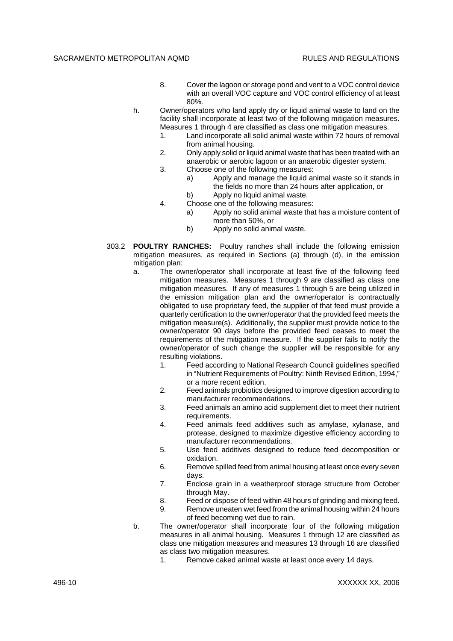- 8. Cover the lagoon or storage pond and vent to a VOC control device with an overall VOC capture and VOC control efficiency of at least 80%.
- h. Owner/operators who land apply dry or liquid animal waste to land on the facility shall incorporate at least two of the following mitigation measures. Measures 1 through 4 are classified as class one mitigation measures.
	- 1. Land incorporate all solid animal waste within 72 hours of removal from animal housing.
	- 2. Only apply solid or liquid animal waste that has been treated with an anaerobic or aerobic lagoon or an anaerobic digester system.
	- 3. Choose one of the following measures:
		- a) Apply and manage the liquid animal waste so it stands in the fields no more than 24 hours after application, or
		- b) Apply no liquid animal waste.
	- 4. Choose one of the following measures:
		- a) Apply no solid animal waste that has a moisture content of more than 50%, or
		- b) Apply no solid animal waste.
- 303.2 **POULTRY RANCHES:** Poultry ranches shall include the following emission mitigation measures, as required in Sections (a) through (d), in the emission mitigation plan:
	- a. The owner/operator shall incorporate at least five of the following feed mitigation measures. Measures 1 through 9 are classified as class one mitigation measures. If any of measures 1 through 5 are being utilized in the emission mitigation plan and the owner/operator is contractually obligated to use proprietary feed, the supplier of that feed must provide a quarterly certification to the owner/operator that the provided feed meets the mitigation measure(s). Additionally, the supplier must provide notice to the owner/operator 90 days before the provided feed ceases to meet the requirements of the mitigation measure. If the supplier fails to notify the owner/operator of such change the supplier will be responsible for any resulting violations.
		- 1. Feed according to National Research Council guidelines specified in "Nutrient Requirements of Poultry: Ninth Revised Edition, 1994," or a more recent edition.
		- 2. Feed animals probiotics designed to improve digestion according to manufacturer recommendations.
		- 3. Feed animals an amino acid supplement diet to meet their nutrient requirements.
		- 4. Feed animals feed additives such as amylase, xylanase, and protease, designed to maximize digestive efficiency according to manufacturer recommendations.
		- 5. Use feed additives designed to reduce feed decomposition or oxidation.
		- 6. Remove spilled feed from animal housing at least once every seven days.
		- 7. Enclose grain in a weatherproof storage structure from October through May.
		- 8. Feed or dispose of feed within 48 hours of grinding and mixing feed.
		- 9. Remove uneaten wet feed from the animal housing within 24 hours of feed becoming wet due to rain.
	- b. The owner/operator shall incorporate four of the following mitigation measures in all animal housing. Measures 1 through 12 are classified as class one mitigation measures and measures 13 through 16 are classified as class two mitigation measures.
		- 1. Remove caked animal waste at least once every 14 days.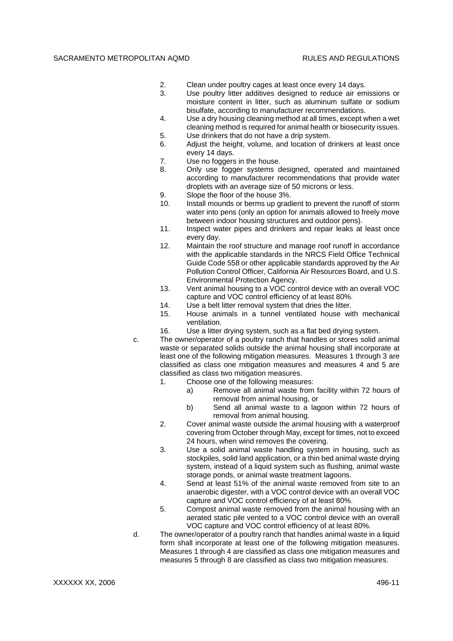- 2. Clean under poultry cages at least once every 14 days.
- 3. Use poultry litter additives designed to reduce air emissions or moisture content in litter, such as aluminum sulfate or sodium bisulfate, according to manufacturer recommendations.
- 4. Use a dry housing cleaning method at all times, except when a wet cleaning method is required for animal health or biosecurity issues.
- 5. Use drinkers that do not have a drip system.
- 6. Adjust the height, volume, and location of drinkers at least once every 14 days.
- 7. Use no foggers in the house.
- 8. Only use fogger systems designed, operated and maintained according to manufacturer recommendations that provide water droplets with an average size of 50 microns or less.
- 9. Slope the floor of the house 3%.
- 10. Install mounds or berms up gradient to prevent the runoff of storm water into pens (only an option for animals allowed to freely move between indoor housing structures and outdoor pens).
- 11. Inspect water pipes and drinkers and repair leaks at least once every day.
- 12. Maintain the roof structure and manage roof runoff in accordance with the applicable standards in the NRCS Field Office Technical Guide Code 558 or other applicable standards approved by the Air Pollution Control Officer, California Air Resources Board, and U.S. Environmental Protection Agency.
- 13. Vent animal housing to a VOC control device with an overall VOC capture and VOC control efficiency of at least 80%.
- 14. Use a belt litter removal system that dries the litter.
- 15. House animals in a tunnel ventilated house with mechanical ventilation.
- 16. Use a litter drying system, such as a flat bed drying system.
- c. The owner/operator of a poultry ranch that handles or stores solid animal waste or separated solids outside the animal housing shall incorporate at least one of the following mitigation measures. Measures 1 through 3 are classified as class one mitigation measures and measures 4 and 5 are classified as class two mitigation measures.
	- 1. Choose one of the following measures:
		- a) Remove all animal waste from facility within 72 hours of removal from animal housing, or
		- b) Send all animal waste to a lagoon within 72 hours of removal from animal housing.
	- 2. Cover animal waste outside the animal housing with a waterproof covering from October through May, except for times, not to exceed 24 hours, when wind removes the covering.
	- 3. Use a solid animal waste handling system in housing, such as stockpiles, solid land application, or a thin bed animal waste drying system, instead of a liquid system such as flushing, animal waste storage ponds, or animal waste treatment lagoons.
	- 4. Send at least 51% of the animal waste removed from site to an anaerobic digester, with a VOC control device with an overall VOC capture and VOC control efficiency of at least 80%.
	- 5. Compost animal waste removed from the animal housing with an aerated static pile vented to a VOC control device with an overall VOC capture and VOC control efficiency of at least 80%.
- d. The owner/operator of a poultry ranch that handles animal waste in a liquid form shall incorporate at least one of the following mitigation measures. Measures 1 through 4 are classified as class one mitigation measures and measures 5 through 8 are classified as class two mitigation measures.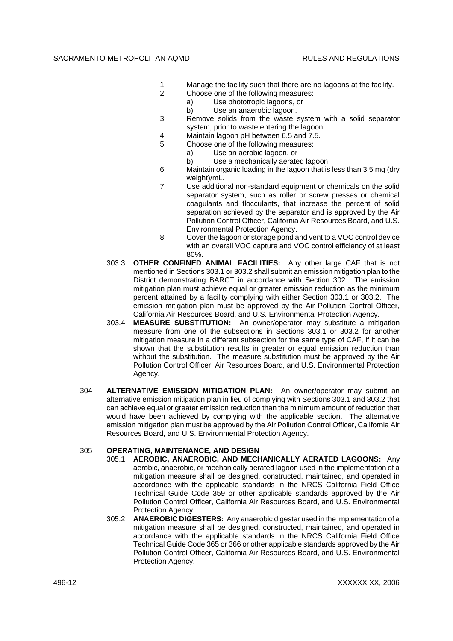- 1. Manage the facility such that there are no lagoons at the facility.
- 2. Choose one of the following measures:
	- a) Use phototropic lagoons, or
		- b) Use an anaerobic lagoon.
- 3. Remove solids from the waste system with a solid separator system, prior to waste entering the lagoon.
- 4. Maintain lagoon pH between 6.5 and 7.5.
- 5. Choose one of the following measures:
	- a) Use an aerobic lagoon, or
		- b) Use a mechanically aerated lagoon.
- 6. Maintain organic loading in the lagoon that is less than 3.5 mg (dry weight)/mL.
- 7. Use additional non-standard equipment or chemicals on the solid separator system, such as roller or screw presses or chemical coagulants and flocculants, that increase the percent of solid separation achieved by the separator and is approved by the Air Pollution Control Officer, California Air Resources Board, and U.S. Environmental Protection Agency.
- 8. Cover the lagoon or storage pond and vent to a VOC control device with an overall VOC capture and VOC control efficiency of at least 80%.
- 303.3 **OTHER CONFINED ANIMAL FACILITIES:** Any other large CAF that is not mentioned in Sections 303.1 or 303.2 shall submit an emission mitigation plan to the District demonstrating BARCT in accordance with Section 302. The emission mitigation plan must achieve equal or greater emission reduction as the minimum percent attained by a facility complying with either Section 303.1 or 303.2. The emission mitigation plan must be approved by the Air Pollution Control Officer, California Air Resources Board, and U.S. Environmental Protection Agency.
- 303.4 **MEASURE SUBSTITUTION:** An owner/operator may substitute a mitigation measure from one of the subsections in Sections 303.1 or 303.2 for another mitigation measure in a different subsection for the same type of CAF, if it can be shown that the substitution results in greater or equal emission reduction than without the substitution. The measure substitution must be approved by the Air Pollution Control Officer, Air Resources Board, and U.S. Environmental Protection Agency.
- 304 **ALTERNATIVE EMISSION MITIGATION PLAN:** An owner/operator may submit an alternative emission mitigation plan in lieu of complying with Sections 303.1 and 303.2 that can achieve equal or greater emission reduction than the minimum amount of reduction that would have been achieved by complying with the applicable section. The alternative emission mitigation plan must be approved by the Air Pollution Control Officer, California Air Resources Board, and U.S. Environmental Protection Agency.

## 305 **OPERATING, MAINTENANCE, AND DESIGN**

- 305.1 **AEROBIC, ANAEROBIC, AND MECHANICALLY AERATED LAGOONS:** Any aerobic, anaerobic, or mechanically aerated lagoon used in the implementation of a mitigation measure shall be designed, constructed, maintained, and operated in accordance with the applicable standards in the NRCS California Field Office Technical Guide Code 359 or other applicable standards approved by the Air Pollution Control Officer, California Air Resources Board, and U.S. Environmental Protection Agency.
- 305.2 **ANAEROBIC DIGESTERS:** Any anaerobic digester used in the implementation of a mitigation measure shall be designed, constructed, maintained, and operated in accordance with the applicable standards in the NRCS California Field Office Technical Guide Code 365 or 366 or other applicable standards approved by the Air Pollution Control Officer, California Air Resources Board, and U.S. Environmental Protection Agency.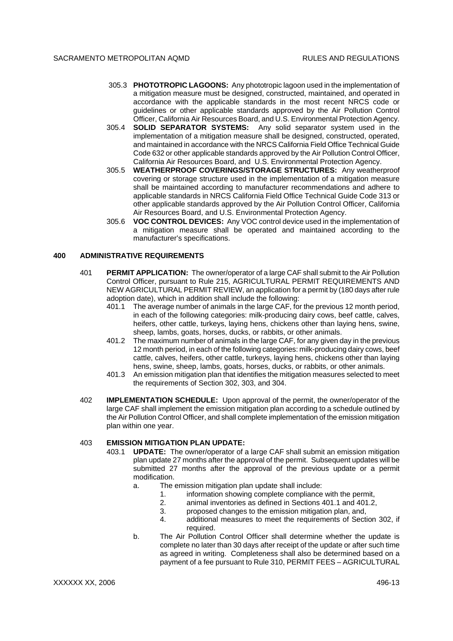- 305.3 **PHOTOTROPIC LAGOONS:** Any phototropic lagoon used in the implementation of a mitigation measure must be designed, constructed, maintained, and operated in accordance with the applicable standards in the most recent NRCS code or guidelines or other applicable standards approved by the Air Pollution Control Officer, California Air Resources Board, and U.S. Environmental Protection Agency.
- 305.4 **SOLID SEPARATOR SYSTEMS:** Any solid separator system used in the implementation of a mitigation measure shall be designed, constructed, operated, and maintained in accordance with the NRCS California Field Office Technical Guide Code 632 or other applicable standards approved by the Air Pollution Control Officer, California Air Resources Board, and U.S. Environmental Protection Agency.
- 305.5 **WEATHERPROOF COVERINGS/STORAGE STRUCTURES:** Any weatherproof covering or storage structure used in the implementation of a mitigation measure shall be maintained according to manufacturer recommendations and adhere to applicable standards in NRCS California Field Office Technical Guide Code 313 or other applicable standards approved by the Air Pollution Control Officer, California Air Resources Board, and U.S. Environmental Protection Agency.
- 305.6 **VOC CONTROL DEVICES:** Any VOC control device used in the implementation of a mitigation measure shall be operated and maintained according to the manufacturer's specifications.

## **400 ADMINISTRATIVE REQUIREMENTS**

- 401 **PERMIT APPLICATION:** The owner/operator of a large CAF shall submit to the Air Pollution Control Officer, pursuant to Rule 215, AGRICULTURAL PERMIT REQUIREMENTS AND NEW AGRICULTURAL PERMIT REVIEW, an application for a permit by (180 days after rule adoption date), which in addition shall include the following:
	- 401.1 The average number of animals in the large CAF, for the previous 12 month period, in each of the following categories: milk-producing dairy cows, beef cattle, calves, heifers, other cattle, turkeys, laying hens, chickens other than laying hens, swine, sheep, lambs, goats, horses, ducks, or rabbits, or other animals.
	- 401.2 The maximum number of animals in the large CAF, for any given day in the previous 12 month period, in each of the following categories: milk-producing dairy cows, beef cattle, calves, heifers, other cattle, turkeys, laying hens, chickens other than laying hens, swine, sheep, lambs, goats, horses, ducks, or rabbits, or other animals.
	- 401.3 An emission mitigation plan that identifies the mitigation measures selected to meet the requirements of Section 302, 303, and 304.
- 402 **IMPLEMENTATION SCHEDULE:** Upon approval of the permit, the owner/operator of the large CAF shall implement the emission mitigation plan according to a schedule outlined by the Air Pollution Control Officer, and shall complete implementation of the emission mitigation plan within one year.

## 403 **EMISSION MITIGATION PLAN UPDATE:**

- 403.1 **UPDATE:** The owner/operator of a large CAF shall submit an emission mitigation plan update 27 months after the approval of the permit. Subsequent updates will be submitted 27 months after the approval of the previous update or a permit modification.
	- a. The emission mitigation plan update shall include:
		- 1. information showing complete compliance with the permit,
		- 2. animal inventories as defined in Sections 401.1 and 401.2,
		- 3. proposed changes to the emission mitigation plan, and,
		- 4. additional measures to meet the requirements of Section 302, if required.
	- b. The Air Pollution Control Officer shall determine whether the update is complete no later than 30 days after receipt of the update or after such time as agreed in writing. Completeness shall also be determined based on a payment of a fee pursuant to Rule 310, PERMIT FEES – AGRICULTURAL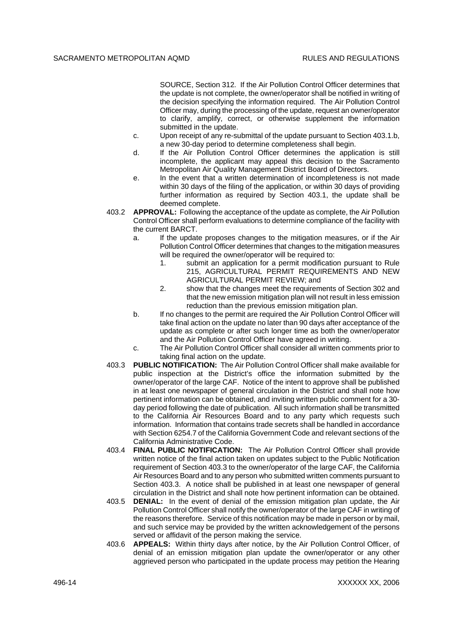SOURCE, Section 312. If the Air Pollution Control Officer determines that the update is not complete, the owner/operator shall be notified in writing of the decision specifying the information required. The Air Pollution Control Officer may, during the processing of the update, request an owner/operator to clarify, amplify, correct, or otherwise supplement the information submitted in the update.

- c. Upon receipt of any re-submittal of the update pursuant to Section 403.1.b, a new 30-day period to determine completeness shall begin.
- d. If the Air Pollution Control Officer determines the application is still incomplete, the applicant may appeal this decision to the Sacramento Metropolitan Air Quality Management District Board of Directors.
- e. In the event that a written determination of incompleteness is not made within 30 days of the filing of the application, or within 30 days of providing further information as required by Section 403.1, the update shall be deemed complete.
- 403.2 **APPROVAL:** Following the acceptance of the update as complete, the Air Pollution Control Officer shall perform evaluations to determine compliance of the facility with the current BARCT.
	- a. If the update proposes changes to the mitigation measures, or if the Air Pollution Control Officer determines that changes to the mitigation measures will be required the owner/operator will be required to:
		- 1. submit an application for a permit modification pursuant to Rule 215, AGRICULTURAL PERMIT REQUIREMENTS AND NEW AGRICULTURAL PERMIT REVIEW; and
		- 2. show that the changes meet the requirements of Section 302 and that the new emission mitigation plan will not result in less emission reduction than the previous emission mitigation plan.
	- b. If no changes to the permit are required the Air Pollution Control Officer will take final action on the update no later than 90 days after acceptance of the update as complete or after such longer time as both the owner/operator and the Air Pollution Control Officer have agreed in writing.
	- c. The Air Pollution Control Officer shall consider all written comments prior to taking final action on the update.
- 403.3 **PUBLIC NOTIFICATION:** The Air Pollution Control Officer shall make available for public inspection at the District's office the information submitted by the owner/operator of the large CAF. Notice of the intent to approve shall be published in at least one newspaper of general circulation in the District and shall note how pertinent information can be obtained, and inviting written public comment for a 30 day period following the date of publication. All such information shall be transmitted to the California Air Resources Board and to any party which requests such information. Information that contains trade secrets shall be handled in accordance with Section 6254.7 of the California Government Code and relevant sections of the California Administrative Code.
- 403.4 **FINAL PUBLIC NOTIFICATION:** The Air Pollution Control Officer shall provide written notice of the final action taken on updates subject to the Public Notification requirement of Section 403.3 to the owner/operator of the large CAF, the California Air Resources Board and to any person who submitted written comments pursuant to Section 403.3. A notice shall be published in at least one newspaper of general circulation in the District and shall note how pertinent information can be obtained.
- 403.5 **DENIAL:** In the event of denial of the emission mitigation plan update, the Air Pollution Control Officer shall notify the owner/operator of the large CAF in writing of the reasons therefore. Service of this notification may be made in person or by mail, and such service may be provided by the written acknowledgement of the persons served or affidavit of the person making the service.
- 403.6 **APPEALS:** Within thirty days after notice, by the Air Pollution Control Officer, of denial of an emission mitigation plan update the owner/operator or any other aggrieved person who participated in the update process may petition the Hearing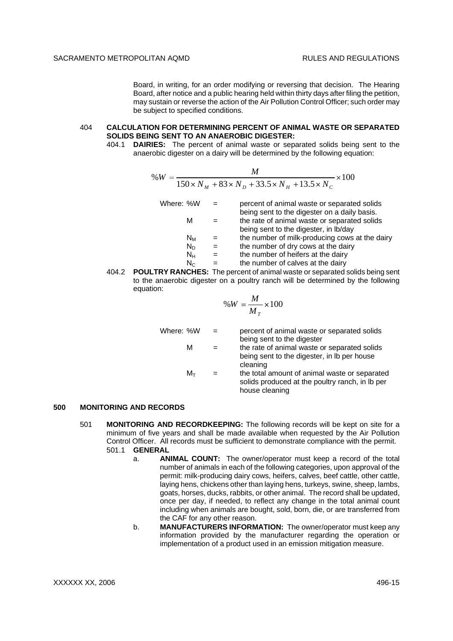Board, in writing, for an order modifying or reversing that decision. The Hearing Board, after notice and a public hearing held within thirty days after filing the petition, may sustain or reverse the action of the Air Pollution Control Officer; such order may be subject to specified conditions.

#### 404 **CALCULATION FOR DETERMINING PERCENT OF ANIMAL WASTE OR SEPARATED SOLIDS BEING SENT TO AN ANAEROBIC DIGESTER:**

404.1 **DAIRIES:** The percent of animal waste or separated solids being sent to the anaerobic digester on a dairy will be determined by the following equation:

$$
\%W = \frac{M}{150 \times N_M + 83 \times N_D + 33.5 \times N_H + 13.5 \times N_C} \times 100
$$

| Where: %W |         | percent of animal waste or separated solids                                                  |
|-----------|---------|----------------------------------------------------------------------------------------------|
|           | м       | being sent to the digester on a daily basis.<br>the rate of animal waste or separated solids |
|           |         | being sent to the digester, in Ib/day                                                        |
|           | $N_{M}$ | the number of milk-producing cows at the dairy                                               |
|           | $N_D$   | the number of dry cows at the dairy                                                          |
|           | $N_{H}$ | the number of heifers at the dairy                                                           |
|           | $N_{C}$ | the number of calves at the dairy                                                            |
|           |         |                                                                                              |

404.2 **POULTRY RANCHES:** The percent of animal waste or separated solids being sent to the anaerobic digester on a poultry ranch will be determined by the following equation:

$$
\%W = \frac{M}{M_T} \times 100
$$

| Where: %W |            | $\overline{\phantom{0}}$ | percent of animal waste or separated solids<br>being sent to the digester<br>the rate of animal waste or separated solids<br>being sent to the digester, in Ib per house<br>cleaning |
|-----------|------------|--------------------------|--------------------------------------------------------------------------------------------------------------------------------------------------------------------------------------|
|           | м          |                          |                                                                                                                                                                                      |
|           | $M_{\tau}$ |                          | the total amount of animal waste or separated<br>solids produced at the poultry ranch, in lb per<br>house cleaning                                                                   |

## **500 MONITORING AND RECORDS**

- 501 **MONITORING AND RECORDKEEPING:** The following records will be kept on site for a minimum of five years and shall be made available when requested by the Air Pollution Control Officer. All records must be sufficient to demonstrate compliance with the permit. 501.1 **GENERAL**
	- a. **ANIMAL COUNT:** The owner/operator must keep a record of the total number of animals in each of the following categories, upon approval of the permit: milk-producing dairy cows, heifers, calves, beef cattle, other cattle, laying hens, chickens other than laying hens, turkeys, swine, sheep, lambs, goats, horses, ducks, rabbits, or other animal. The record shall be updated, once per day, if needed, to reflect any change in the total animal count including when animals are bought, sold, born, die, or are transferred from the CAF for any other reason.
	- b. **MANUFACTURERS INFORMATION:** The owner/operator must keep any information provided by the manufacturer regarding the operation or implementation of a product used in an emission mitigation measure.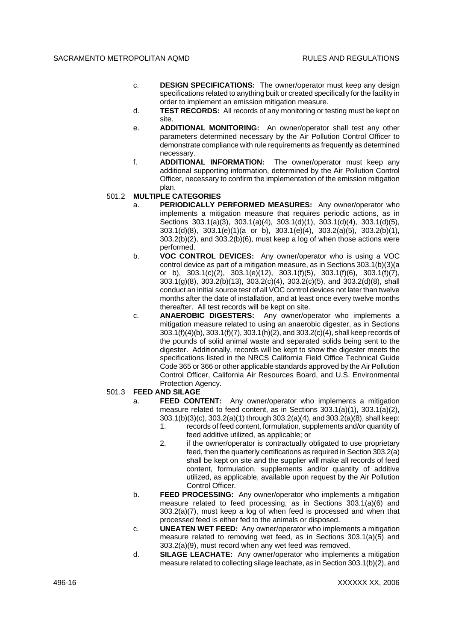- c. **DESIGN SPECIFICATIONS:** The owner/operator must keep any design specifications related to anything built or created specifically for the facility in order to implement an emission mitigation measure.
- d. **TEST RECORDS:** All records of any monitoring or testing must be kept on site.
- e. **ADDITIONAL MONITORING:** An owner/operator shall test any other parameters determined necessary by the Air Pollution Control Officer to demonstrate compliance with rule requirements as frequently as determined necessary.
- f. **ADDITIONAL INFORMATION:** The owner/operator must keep any additional supporting information, determined by the Air Pollution Control Officer, necessary to confirm the implementation of the emission mitigation plan.
- 501.2 **MULTIPLE CATEGORIES**
	- a. **PERIODICALLY PERFORMED MEASURES:** Any owner/operator who implements a mitigation measure that requires periodic actions, as in Sections 303.1(a)(3), 303.1(a)(4), 303.1(d)(1), 303.1(d)(4), 303.1(d)(5), 303.1(d)(8), 303.1(e)(1)(a or b), 303.1(e)(4), 303.2(a)(5), 303.2(b)(1), 303.2(b)(2), and 303.2(b)(6), must keep a log of when those actions were performed.
	- b. **VOC CONTROL DEVICES:** Any owner/operator who is using a VOC control device as part of a mitigation measure, as in Sections 303.1(b)(3)(a or b),  $303.1(c)(2)$ ,  $303.1(e)(12)$ ,  $303.1(f)(5)$ ,  $303.1(f)(6)$ ,  $303.1(f)(7)$ ,  $303.1(g)(8)$ ,  $303.2(b)(13)$ ,  $303.2(c)(4)$ ,  $303.2(c)(5)$ , and  $303.2(d)(8)$ , shall conduct an initial source test of all VOC control devices not later than twelve months after the date of installation, and at least once every twelve months thereafter. All test records will be kept on site.
	- c. **ANAEROBIC DIGESTERS:** Any owner/operator who implements a mitigation measure related to using an anaerobic digester, as in Sections 303.1(f)(4)(b), 303.1(f)(7), 303.1(h)(2), and 303.2(c)(4), shall keep records of the pounds of solid animal waste and separated solids being sent to the digester. Additionally, records will be kept to show the digester meets the specifications listed in the NRCS California Field Office Technical Guide Code 365 or 366 or other applicable standards approved by the Air Pollution Control Officer, California Air Resources Board, and U.S. Environmental Protection Agency.

#### 501.3 **FEED AND SILAGE**

- a. **FEED CONTENT:** Any owner/operator who implements a mitigation measure related to feed content, as in Sections 303.1(a)(1), 303.1(a)(2), 303.1(b)(3)(c), 303.2(a)(1) through 303.2(a)(4), and 303.2(a)(8), shall keep:
	- 1. records of feed content, formulation, supplements and/or quantity of feed additive utilized, as applicable; or
	- 2. if the owner/operator is contractually obligated to use proprietary feed, then the quarterly certifications as required in Section 303.2(a) shall be kept on site and the supplier will make all records of feed content, formulation, supplements and/or quantity of additive utilized, as applicable, available upon request by the Air Pollution Control Officer.
- b. **FEED PROCESSING:** Any owner/operator who implements a mitigation measure related to feed processing, as in Sections 303.1(a)(6) and 303.2(a)(7), must keep a log of when feed is processed and when that processed feed is either fed to the animals or disposed.
- c. **UNEATEN WET FEED:** Any owner/operator who implements a mitigation measure related to removing wet feed, as in Sections 303.1(a)(5) and 303.2(a)(9), must record when any wet feed was removed.
- d. **SILAGE LEACHATE:** Any owner/operator who implements a mitigation measure related to collecting silage leachate, as in Section 303.1(b)(2), and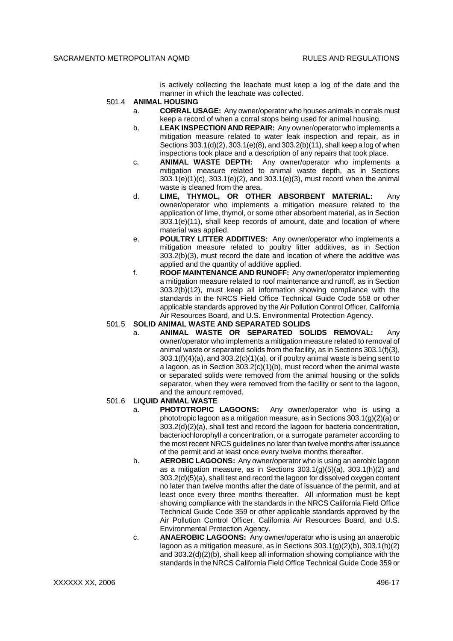is actively collecting the leachate must keep a log of the date and the manner in which the leachate was collected.

## 501.4 **ANIMAL HOUSING**

- a. **CORRAL USAGE:** Any owner/operator who houses animals in corrals must keep a record of when a corral stops being used for animal housing.
- b. **LEAK INSPECTION AND REPAIR:** Any owner/operator who implements a mitigation measure related to water leak inspection and repair, as in Sections 303.1(d)(2), 303.1(e)(8), and 303.2(b)(11), shall keep a log of when inspections took place and a description of any repairs that took place.
- c. **ANIMAL WASTE DEPTH:** Any owner/operator who implements a mitigation measure related to animal waste depth, as in Sections 303.1(e)(1)(c), 303.1(e)(2), and 303.1(e)(3), must record when the animal waste is cleaned from the area.
- d. **LIME, THYMOL, OR OTHER ABSORBENT MATERIAL:** Any owner/operator who implements a mitigation measure related to the application of lime, thymol, or some other absorbent material, as in Section 303.1(e)(11), shall keep records of amount, date and location of where material was applied.
- e. **POULTRY LITTER ADDITIVES:** Any owner/operator who implements a mitigation measure related to poultry litter additives, as in Section 303.2(b)(3), must record the date and location of where the additive was applied and the quantity of additive applied.
- f. **ROOF MAINTENANCE AND RUNOFF:** Any owner/operator implementing a mitigation measure related to roof maintenance and runoff, as in Section 303.2(b)(12), must keep all information showing compliance with the standards in the NRCS Field Office Technical Guide Code 558 or other applicable standards approved by the Air Pollution Control Officer, California Air Resources Board, and U.S. Environmental Protection Agency.

# 501.5 **SOLID ANIMAL WASTE AND SEPARATED SOLIDS**

a. **ANIMAL WASTE OR SEPARATED SOLIDS REMOVAL:** Any owner/operator who implements a mitigation measure related to removal of animal waste or separated solids from the facility, as in Sections 303.1(f)(3),  $303.1(f)(4)(a)$ , and  $303.2(c)(1)(a)$ , or if poultry animal waste is being sent to a lagoon, as in Section 303.2(c)(1)(b), must record when the animal waste or separated solids were removed from the animal housing or the solids separator, when they were removed from the facility or sent to the lagoon, and the amount removed.

## 501.6 **LIQUID ANIMAL WASTE**

- a. **PHOTOTROPIC LAGOONS:** Any owner/operator who is using a phototropic lagoon as a mitigation measure, as in Sections 303.1(g)(2)(a) or 303.2(d)(2)(a), shall test and record the lagoon for bacteria concentration, bacteriochlorophyll *a* concentration, or a surrogate parameter according to the most recent NRCS guidelines no later than twelve months after issuance of the permit and at least once every twelve months thereafter.
- b. **AEROBIC LAGOONS:** Any owner/operator who is using an aerobic lagoon as a mitigation measure, as in Sections 303.1(g)(5)(a), 303.1(h)(2) and 303.2(d)(5)(a), shall test and record the lagoon for dissolved oxygen content no later than twelve months after the date of issuance of the permit, and at least once every three months thereafter. All information must be kept showing compliance with the standards in the NRCS California Field Office Technical Guide Code 359 or other applicable standards approved by the Air Pollution Control Officer, California Air Resources Board, and U.S. Environmental Protection Agency.
- c. **ANAEROBIC LAGOONS:** Any owner/operator who is using an anaerobic lagoon as a mitigation measure, as in Sections  $303.1(q)(2)(b)$ ,  $303.1(h)(2)$ and 303.2(d)(2)(b), shall keep all information showing compliance with the standards in the NRCS California Field Office Technical Guide Code 359 or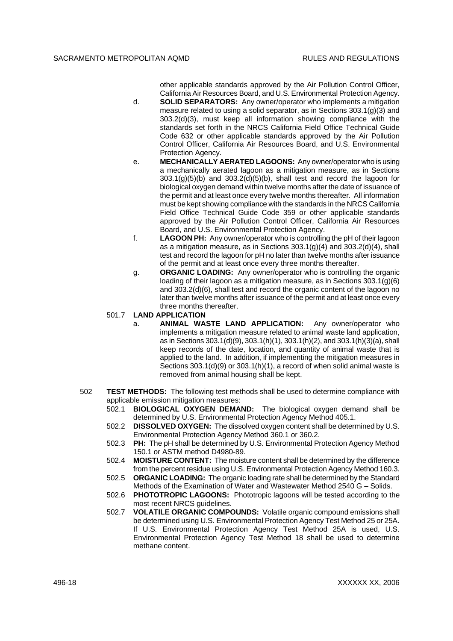other applicable standards approved by the Air Pollution Control Officer, California Air Resources Board, and U.S. Environmental Protection Agency.

- d. **SOLID SEPARATORS:** Any owner/operator who implements a mitigation measure related to using a solid separator, as in Sections 303.1(g)(3) and 303.2(d)(3), must keep all information showing compliance with the standards set forth in the NRCS California Field Office Technical Guide Code 632 or other applicable standards approved by the Air Pollution Control Officer, California Air Resources Board, and U.S. Environmental Protection Agency.
- e. **MECHANICALLY AERATED LAGOONS:** Any owner/operator who is using a mechanically aerated lagoon as a mitigation measure, as in Sections  $303.1(g)(5)(b)$  and  $303.2(g)(5)(b)$ , shall test and record the lagoon for biological oxygen demand within twelve months after the date of issuance of the permit and at least once every twelve months thereafter. All information must be kept showing compliance with the standards in the NRCS California Field Office Technical Guide Code 359 or other applicable standards approved by the Air Pollution Control Officer, California Air Resources Board, and U.S. Environmental Protection Agency.
- f. **LAGOON PH:** Any owner/operator who is controlling the pH of their lagoon as a mitigation measure, as in Sections 303.1(g)(4) and 303.2(d)(4), shall test and record the lagoon for pH no later than twelve months after issuance of the permit and at least once every three months thereafter.
- g. **ORGANIC LOADING:** Any owner/operator who is controlling the organic loading of their lagoon as a mitigation measure, as in Sections 303.1(g)(6) and 303.2(d)(6), shall test and record the organic content of the lagoon no later than twelve months after issuance of the permit and at least once every three months thereafter.

#### 501.7 **LAND APPLICATION**

- a. **ANIMAL WASTE LAND APPLICATION:** Any owner/operator who implements a mitigation measure related to animal waste land application, as in Sections 303.1(d)(9), 303.1(h)(1), 303.1(h)(2), and 303.1(h)(3)(a), shall keep records of the date, location, and quantity of animal waste that is applied to the land. In addition, if implementing the mitigation measures in Sections 303.1(d)(9) or 303.1(h)(1), a record of when solid animal waste is removed from animal housing shall be kept.
- 502 **TEST METHODS:** The following test methods shall be used to determine compliance with applicable emission mitigation measures:
	- 502.1 **BIOLOGICAL OXYGEN DEMAND:** The biological oxygen demand shall be determined by U.S. Environmental Protection Agency Method 405.1.
	- 502.2 **DISSOLVED OXYGEN:** The dissolved oxygen content shall be determined by U.S. Environmental Protection Agency Method 360.1 or 360.2.
	- 502.3 **PH:** The pH shall be determined by U.S. Environmental Protection Agency Method 150.1 or ASTM method D4980-89.
	- 502.4 **MOISTURE CONTENT:** The moisture content shall be determined by the difference from the percent residue using U.S. Environmental Protection Agency Method 160.3.
	- 502.5 **ORGANIC LOADING:** The organic loading rate shall be determined by the Standard Methods of the Examination of Water and Wastewater Method 2540 G – Solids.
	- 502.6 **PHOTOTROPIC LAGOONS:** Phototropic lagoons will be tested according to the most recent NRCS guidelines.
	- 502.7 **VOLATILE ORGANIC COMPOUNDS:** Volatile organic compound emissions shall be determined using U.S. Environmental Protection Agency Test Method 25 or 25A. If U.S. Environmental Protection Agency Test Method 25A is used, U.S. Environmental Protection Agency Test Method 18 shall be used to determine methane content.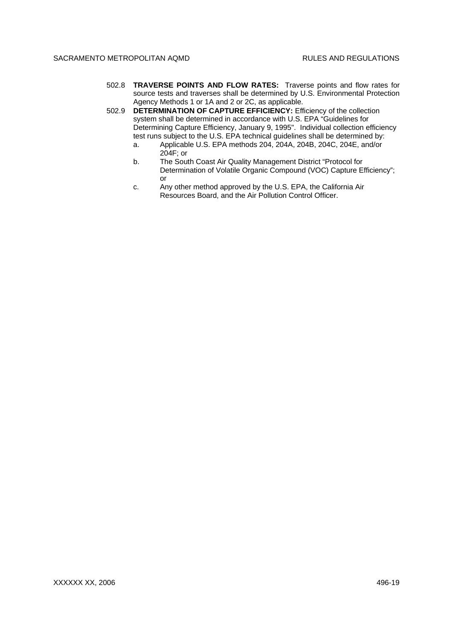- 502.8 **TRAVERSE POINTS AND FLOW RATES:** Traverse points and flow rates for source tests and traverses shall be determined by U.S. Environmental Protection Agency Methods 1 or 1A and 2 or 2C, as applicable.
- 502.9 **DETERMINATION OF CAPTURE EFFICIENCY:** Efficiency of the collection system shall be determined in accordance with U.S. EPA "Guidelines for Determining Capture Efficiency, January 9, 1995". Individual collection efficiency test runs subject to the U.S. EPA technical guidelines shall be determined by:
	- a. Applicable U.S. EPA methods 204, 204A, 204B, 204C, 204E, and/or 204F; or
	- b. The South Coast Air Quality Management District "Protocol for Determination of Volatile Organic Compound (VOC) Capture Efficiency"; or
	- c. Any other method approved by the U.S. EPA, the California Air Resources Board, and the Air Pollution Control Officer.